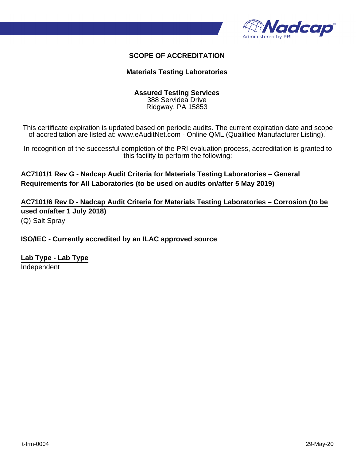

### **SCOPE OF ACCREDITATION**

#### **Materials Testing Laboratories**

#### **Assured Testing Services** 388 Servidea Drive

Ridgway, PA 15853

This certificate expiration is updated based on periodic audits. The current expiration date and scope of accreditation are listed at: www.eAuditNet.com - Online QML (Qualified Manufacturer Listing).

In recognition of the successful completion of the PRI evaluation process, accreditation is granted to this facility to perform the following:

**AC7101/1 Rev G - Nadcap Audit Criteria for Materials Testing Laboratories – General Requirements for All Laboratories (to be used on audits on/after 5 May 2019)**

**AC7101/6 Rev D - Nadcap Audit Criteria for Materials Testing Laboratories – Corrosion (to be used on/after 1 July 2018)**

(Q) Salt Spray

#### **ISO/IEC - Currently accredited by an ILAC approved source**

**Lab Type - Lab Type** Independent